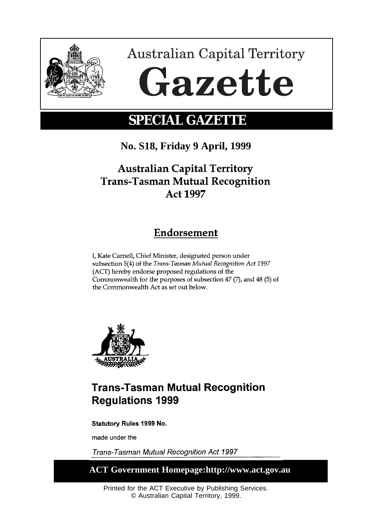

**Australian Capital Territory** Gazette

# **SPECIAL GAZETTE**

**No. S18, Friday 9 April, 1999**

# **Australian Capital Territory Trans-Tasman Mutual Recognition** Act 1997

# Endorsement

I, Kate Carnell, Chief Minister, designated person under subsection 5(4) of the Trans-Tasman Mutual Recognition Act 1997 (ACT) hereby endorse proposed regulations of the Commonwealth for the purposes of subsection 47 (7), and 48 (5) of the Commonwealth Act as set out below.



# **Trans-Tasman Mutual Recognition Regulations 1999**

Statutory Rules 1999 No.

made under the

Trans-Tasman Mutual Recognition Act 1997

**ACT Government Homepage:http://www.act.gov.au**

Printed for the ACT Executive by Publishing Services. © Australian Capital Territory, 1999.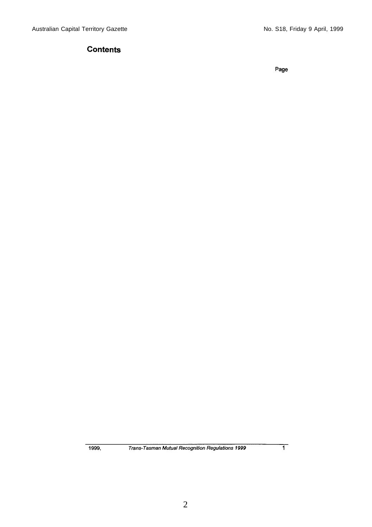# **Contents**

Page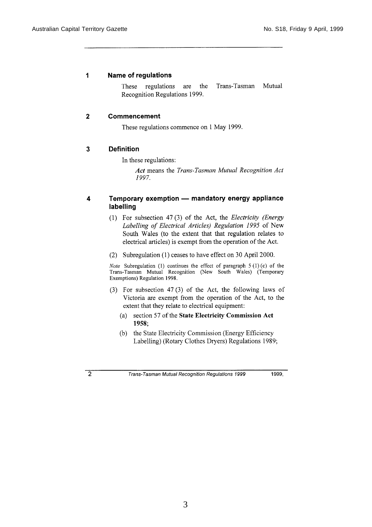#### 1 Name of regulations

These regulations are the Trans-Tasman Mutual Recognition Regulations 1999.

#### $\overline{2}$ Commencement

These regulations commence on 1 May 1999.

#### $\overline{\mathbf{3}}$ **Definition**

In these regulations:

Act means the Trans-Tasman Mutual Recognition Act 1997.

#### Temporary exemption - mandatory energy appliance 4 labelling

- (1) For subsection 47(3) of the Act, the Electricity (Energy Labelling of Electrical Articles) Regulation 1995 of New South Wales (to the extent that that regulation relates to electrical articles) is exempt from the operation of the Act.
- (2) Subregulation (1) ceases to have effect on 30 April 2000.

Note Subregulation (1) continues the effect of paragraph  $5(1)(c)$  of the Trans-Tasman Mutual Recognition (New South Wales) (Temporary Exemptions) Regulation 1998.

- (3) For subsection  $47(3)$  of the Act, the following laws of Victoria are exempt from the operation of the Act, to the extent that they relate to electrical equipment:
	- (a) section 57 of the State Electricity Commission Act 1958;
	- (b) the State Electricity Commission (Energy Efficiency Labelling) (Rotary Clothes Dryers) Regulations 1989;

Trans-Tasman Mutual Recognition Regulations 1999

1999.

 $\overline{2}$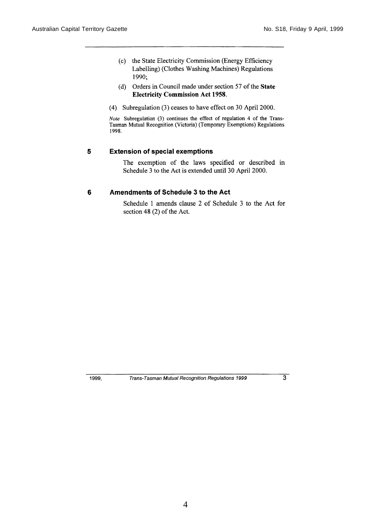- (c) the State Electricity Commission (Energy Efficiency Labelling) (Clothes Washing Machines) Regulations 1990;
- (d) Orders in Council made under section 57 of the State **Electricity Commission Act 1958.**
- (4) Subregulation (3) ceases to have effect on 30 April 2000.

Note Subregulation (3) continues the effect of regulation 4 of the Trans-Tasman Mutual Recognition (Victoria) (Temporary Exemptions) Regulations 1998.

#### $\overline{\mathbf{5}}$ **Extension of special exemptions**

The exemption of the laws specified or described in Schedule 3 to the Act is extended until 30 April 2000.

#### $6\phantom{1}6$ Amendments of Schedule 3 to the Act

Schedule 1 amends clause 2 of Schedule 3 to the Act for section 48 (2) of the Act.

1999,

Trans-Tasman Mutual Recognition Regulations 1999

 $\overline{3}$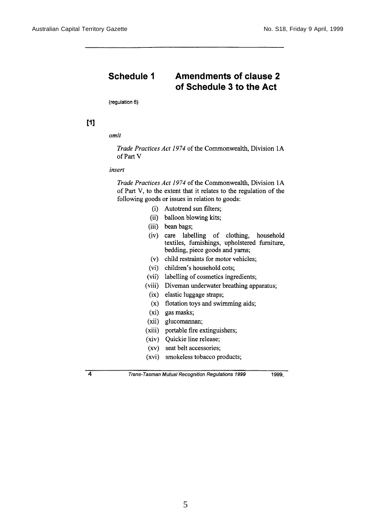#### Schedule 1 **Amendments of clause 2** of Schedule 3 to the Act

(regulation 6)

# $[1]$

omit

Trade Practices Act 1974 of the Commonwealth, Division 1A of Part V

## insert

Trade Practices Act 1974 of the Commonwealth, Division 1A of Part V, to the extent that it relates to the regulation of the following goods or issues in relation to goods:

- (i) Autotrend sun filters;
- (ii) balloon blowing kits;
- (iii) bean bags;
- (iv) care labelling of clothing, household<br>textiles, furnishings, upholstered furniture, bedding, piece goods and yarns;
- (v) child restraints for motor vehicles;
- (vi) children's household cots;
- (vii) labelling of cosmetics ingredients;
- (viii) Diveman underwater breathing apparatus;
- (ix) elastic luggage straps;
- (x) flotation toys and swimming aids;
- (xi) gas masks;
- (xii) glucomannan;
- (xiii) portable fire extinguishers;
- (xiv) Quickie line release;
- (xv) seat belt accessories;
- (xvi) smokeless tobacco products;

Trans-Tasman Mutual Recognition Regulations 1999

1999.

 $\overline{4}$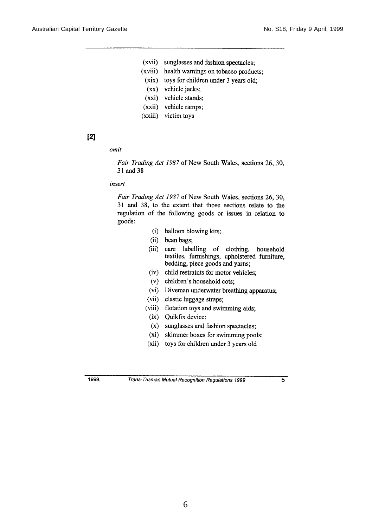- (xvii) sunglasses and fashion spectacles;
- (xviii) health warnings on tobacco products;
- (xix) toys for children under 3 years old;
- (xx) vehicle jacks;
- (xxi) vehicle stands;
- (xxii) vehicle ramps;
- (xxiii) victim toys

# $[2]$

omit

Fair Trading Act 1987 of New South Wales, sections 26, 30, 31 and 38

### insert

Fair Trading Act 1987 of New South Wales, sections 26, 30, 31 and 38, to the extent that those sections relate to the regulation of the following goods or issues in relation to goods:

- (i) balloon blowing kits;
- (ii) bean bags;
- (iii) care labelling of clothing, household<br>textiles, furnishings, upholstered furniture, bedding, piece goods and yarns;
- (iv) child restraints for motor vehicles;
- (v) children's household cots;
- (vi) Diveman underwater breathing apparatus;
- (vii) elastic luggage straps;
- (viii) flotation toys and swimming aids;
	- (ix) Quikfix device;
	- (x) sunglasses and fashion spectacles;
	- (xi) skimmer boxes for swimming pools;
- (xii) toys for children under 3 years old

1999,

Trans-Tasman Mutual Recognition Regulations 1999

 $\overline{5}$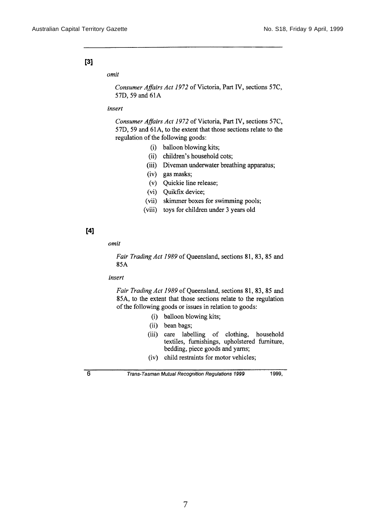# $[3]$

omit

Consumer Affairs Act 1972 of Victoria, Part IV, sections 57C, 57D, 59 and 61A

## insert

Consumer Affairs Act 1972 of Victoria, Part IV, sections 57C, 57D, 59 and 61A, to the extent that those sections relate to the regulation of the following goods:

- (i) balloon blowing kits;
- (ii) children's household cots;
- (iii) Diveman underwater breathing apparatus;
- (iv) gas masks;
- (v) Quickie line release;
- (vi) Quikfix device;
- (vii) skimmer boxes for swimming pools;
- (viii) toys for children under 3 years old

# $[4]$

omit

Fair Trading Act 1989 of Queensland, sections 81, 83, 85 and 85A

insert

Fair Trading Act 1989 of Queensland, sections 81, 83, 85 and 85A, to the extent that those sections relate to the regulation of the following goods or issues in relation to goods:

- (i) balloon blowing kits;
- (ii) bean bags;
- (iii) care labelling of clothing, household textiles, furnishings, upholstered furniture, bedding, piece goods and yarns;
- (iv) child restraints for motor vehicles;

6

Trans-Tasman Mutual Recognition Regulations 1999

1999,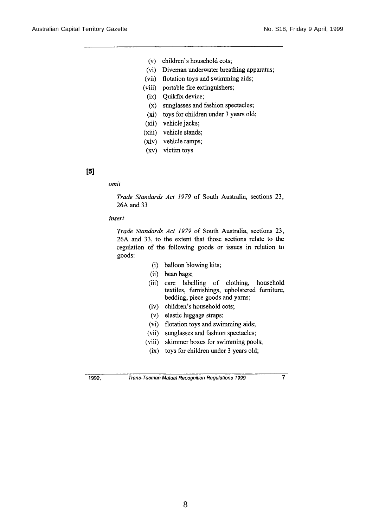- (v) children's household cots;
- (vi) Diveman underwater breathing apparatus;
- (vii) flotation toys and swimming aids;
- (viii) portable fire extinguishers;
- (ix) Quikfix device;
- (x) sunglasses and fashion spectacles;
- (xi) toys for children under 3 years old;
- (xii) vehicle jacks;
- (xiii) vehicle stands;
- (xiv) vehicle ramps;
- (xv) victim toys

# $[5]$

#### omit

Trade Standards Act 1979 of South Australia, sections 23, 26A and 33

#### insert

Trade Standards Act 1979 of South Australia, sections 23, 26A and 33, to the extent that those sections relate to the regulation of the following goods or issues in relation to goods:

- (i) balloon blowing kits;
- (ii) bean bags;
- (iii) care labelling of clothing, household textiles, furnishings, upholstered furniture, bedding, piece goods and yarns;
- (iv) children's household cots;
- (v) elastic luggage straps;
- (vi) flotation toys and swimming aids;
- (vii) sunglasses and fashion spectacles;
- (viii) skimmer boxes for swimming pools;
- (ix) toys for children under 3 years old;

1999,

Trans-Tasman Mutual Recognition Regulations 1999

 $\overline{7}$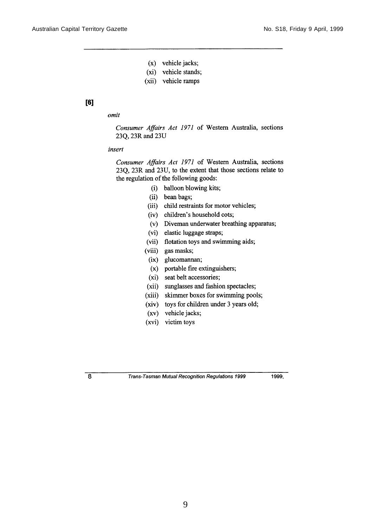- $(x)$  vehicle jacks;
- (xi) vehicle stands;
- (xii) vehicle ramps

# $[6]$

### omit

Consumer Affairs Act 1971 of Western Australia, sections 23Q, 23R and 23U

#### insert

Consumer Affairs Act 1971 of Western Australia, sections 23O, 23R and 23U, to the extent that those sections relate to the regulation of the following goods:

- (i) balloon blowing kits;
- (ii) bean bags;
- (iii) child restraints for motor vehicles;
- (iv) children's household cots;
- (v) Diveman underwater breathing apparatus;
- (vi) elastic luggage straps;
- (vii) flotation toys and swimming aids;
- (viii) gas masks;
- (ix) glucomannan;
- (x) portable fire extinguishers;
- (xi) seat belt accessories;
- (xii) sunglasses and fashion spectacles;
- (xiii) skimmer boxes for swimming pools;
- (xiv) toys for children under 3 years old;
- (xv) vehicle jacks;
- (xvi) victim toys

 $\overline{\mathbf{8}}$ 

Trans-Tasman Mutual Recognition Regulations 1999

1999,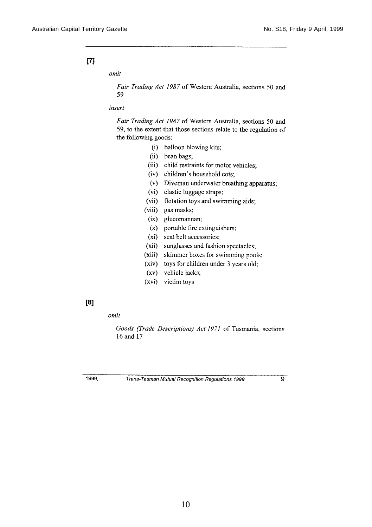# $[T]$

omit

Fair Trading Act 1987 of Western Australia, sections 50 and 59

## insert

Fair Trading Act 1987 of Western Australia, sections 50 and 59, to the extent that those sections relate to the regulation of the following goods:

- (i) balloon blowing kits;
- (ii) bean bags:
- (iii) child restraints for motor vehicles;
- (iv) children's household cots;
- (v) Diveman underwater breathing apparatus;
- (vi) elastic luggage straps;
- (vii) flotation toys and swimming aids;
- (viii) gas masks;
	- (ix) glucomannan;
	- $(x)$  portable fire extinguishers;
	- (xi) seat belt accessories;
- (xii) sunglasses and fashion spectacles;
- (xiii) skimmer boxes for swimming pools;
- (xiv) toys for children under 3 years old;
- (xv) vehicle jacks;
- (xvi) victim toys

## [8]

omit

Goods (Trade Descriptions) Act 1971 of Tasmania, sections 16 and 17

1999,

Trans-Tasman Mutual Recognition Regulations 1999

 $\overline{9}$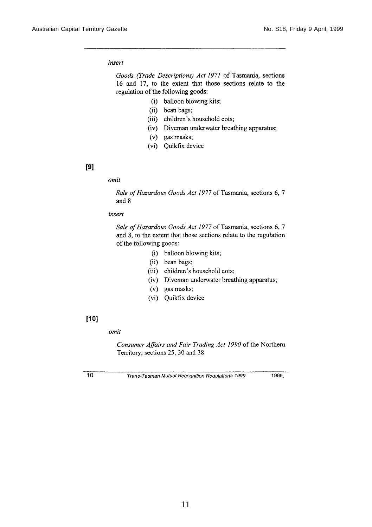### insert

Goods (Trade Descriptions) Act 1971 of Tasmania, sections 16 and 17, to the extent that those sections relate to the regulation of the following goods:

- (i) balloon blowing kits;
- (ii) bean bags;
- (iii) children's household cots;
- (iv) Diveman underwater breathing apparatus;
- (v) gas masks;
- (vi) Quikfix device

## $[9]$

#### omit

Sale of Hazardous Goods Act 1977 of Tasmania, sections 6, 7 and 8

#### insert

Sale of Hazardous Goods Act 1977 of Tasmania, sections 6, 7 and 8, to the extent that those sections relate to the regulation of the following goods:

- (i) balloon blowing kits;
- (ii) bean bags;
- (iii) children's household cots;
- (iv) Diveman underwater breathing apparatus;
- (v) gas masks;
- (vi) Quikfix device

# $[10]$

#### omit

Consumer Affairs and Fair Trading Act 1990 of the Northern Territory, sections 25, 30 and 38

 $\overline{10}$ 

Trans-Tasman Mutual Recognition Regulations 1999

1999.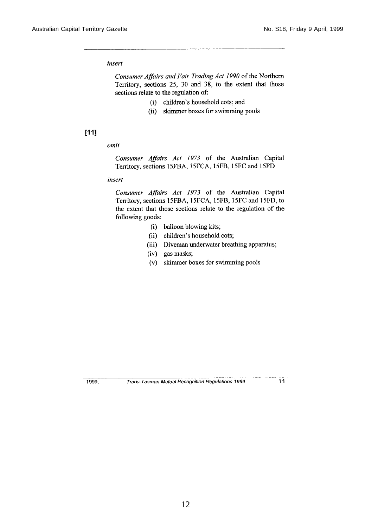#### insert

Consumer Affairs and Fair Trading Act 1990 of the Northern Territory, sections 25, 30 and 38, to the extent that those sections relate to the regulation of:

- (i) children's household cots; and
- (ii) skimmer boxes for swimming pools

## $[11]$

#### omit

Consumer Affairs Act 1973 of the Australian Capital Territory, sections 15FBA, 15FCA, 15FB, 15FC and 15FD

## insert

Consumer Affairs Act 1973 of the Australian Capital Territory, sections 15FBA, 15FCA, 15FB, 15FC and 15FD, to the extent that those sections relate to the regulation of the following goods:

- (i) balloon blowing kits;
- (ii) children's household cots;
- (iii) Diveman underwater breathing apparatus;
- (iv) gas masks;
- (v) skimmer boxes for swimming pools

1999.

Trans-Tasman Mutual Recognition Regulations 1999

 $11$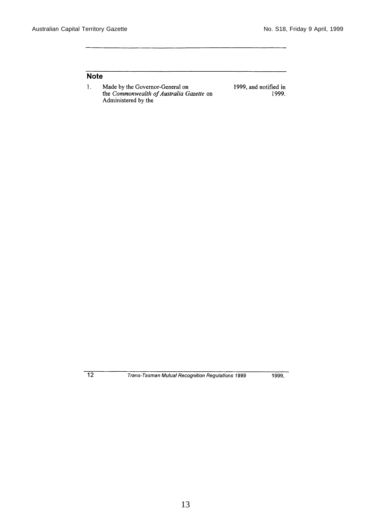1999.

# **Note**

Made by the Governor-General on<br>the Commonwealth of Australia Gazette on<br>Administered by the  $\mathbf{1}$ . 1999, and notified in

 $\overline{12}$ 

Trans-Tasman Mutual Recognition Regulations 1999

1999,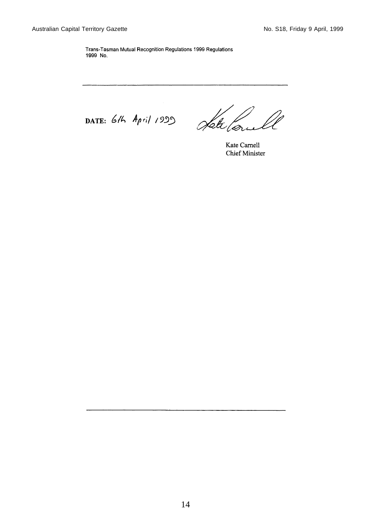Trans-Tasman Mutual Recognition Regulations 1999 Regulations 1999 No.

DATE: 6th April 1999

Heteloriel

Kate Carnell **Chief Minister**